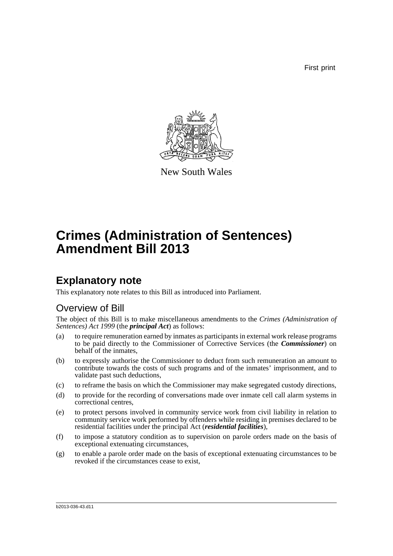First print



New South Wales

# **Crimes (Administration of Sentences) Amendment Bill 2013**

# **Explanatory note**

This explanatory note relates to this Bill as introduced into Parliament.

## Overview of Bill

The object of this Bill is to make miscellaneous amendments to the *Crimes (Administration of Sentences) Act 1999* (the *principal Act*) as follows:

- (a) to require remuneration earned by inmates as participants in external work release programs to be paid directly to the Commissioner of Corrective Services (the *Commissioner*) on behalf of the inmates,
- (b) to expressly authorise the Commissioner to deduct from such remuneration an amount to contribute towards the costs of such programs and of the inmates' imprisonment, and to validate past such deductions,
- (c) to reframe the basis on which the Commissioner may make segregated custody directions,
- (d) to provide for the recording of conversations made over inmate cell call alarm systems in correctional centres,
- (e) to protect persons involved in community service work from civil liability in relation to community service work performed by offenders while residing in premises declared to be residential facilities under the principal Act (*residential facilities*),
- (f) to impose a statutory condition as to supervision on parole orders made on the basis of exceptional extenuating circumstances,
- (g) to enable a parole order made on the basis of exceptional extenuating circumstances to be revoked if the circumstances cease to exist,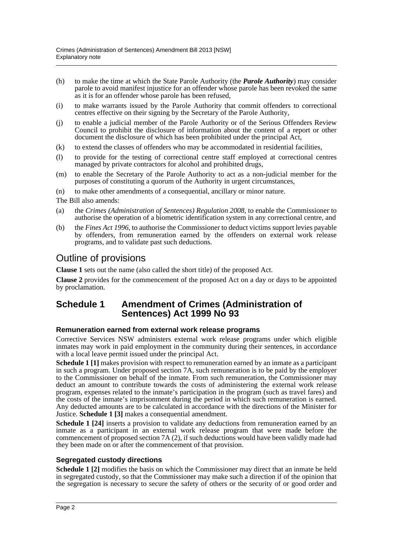- (h) to make the time at which the State Parole Authority (the *Parole Authority*) may consider parole to avoid manifest injustice for an offender whose parole has been revoked the same as it is for an offender whose parole has been refused,
- (i) to make warrants issued by the Parole Authority that commit offenders to correctional centres effective on their signing by the Secretary of the Parole Authority,
- (j) to enable a judicial member of the Parole Authority or of the Serious Offenders Review Council to prohibit the disclosure of information about the content of a report or other document the disclosure of which has been prohibited under the principal Act,
- (k) to extend the classes of offenders who may be accommodated in residential facilities,
- (l) to provide for the testing of correctional centre staff employed at correctional centres managed by private contractors for alcohol and prohibited drugs,
- (m) to enable the Secretary of the Parole Authority to act as a non-judicial member for the purposes of constituting a quorum of the Authority in urgent circumstances,
- (n) to make other amendments of a consequential, ancillary or minor nature.

The Bill also amends:

- (a) the *Crimes (Administration of Sentences) Regulation 2008*, to enable the Commissioner to authorise the operation of a biometric identification system in any correctional centre, and
- (b) the *Fines Act 1996*, to authorise the Commissioner to deduct victims support levies payable by offenders, from remuneration earned by the offenders on external work release programs, and to validate past such deductions.

## Outline of provisions

**Clause 1** sets out the name (also called the short title) of the proposed Act.

**Clause 2** provides for the commencement of the proposed Act on a day or days to be appointed by proclamation.

### **Schedule 1 Amendment of Crimes (Administration of Sentences) Act 1999 No 93**

#### **Remuneration earned from external work release programs**

Corrective Services NSW administers external work release programs under which eligible inmates may work in paid employment in the community during their sentences, in accordance with a local leave permit issued under the principal Act.

**Schedule 1 [1]** makes provision with respect to remuneration earned by an inmate as a participant in such a program. Under proposed section 7A, such remuneration is to be paid by the employer to the Commissioner on behalf of the inmate. From such remuneration, the Commissioner may deduct an amount to contribute towards the costs of administering the external work release program, expenses related to the inmate's participation in the program (such as travel fares) and the costs of the inmate's imprisonment during the period in which such remuneration is earned. Any deducted amounts are to be calculated in accordance with the directions of the Minister for Justice. **Schedule 1 [3]** makes a consequential amendment.

**Schedule 1 [24]** inserts a provision to validate any deductions from remuneration earned by an inmate as a participant in an external work release program that were made before the commencement of proposed section 7A (2), if such deductions would have been validly made had they been made on or after the commencement of that provision.

#### **Segregated custody directions**

**Schedule 1** [2] modifies the basis on which the Commissioner may direct that an inmate be held in segregated custody, so that the Commissioner may make such a direction if of the opinion that the segregation is necessary to secure the safety of others or the security of or good order and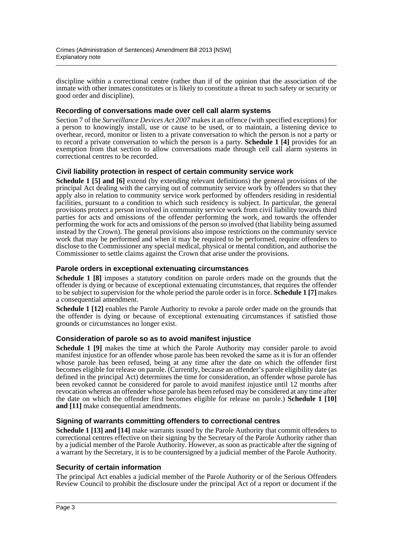discipline within a correctional centre (rather than if of the opinion that the association of the inmate with other inmates constitutes or is likely to constitute a threat to such safety or security or good order and discipline).

#### **Recording of conversations made over cell call alarm systems**

Section 7 of the *Surveillance Devices Act 2007* makes it an offence (with specified exceptions) for a person to knowingly install, use or cause to be used, or to maintain, a listening device to overhear, record, monitor or listen to a private conversation to which the person is not a party or to record a private conversation to which the person is a party. **Schedule 1 [4]** provides for an exemption from that section to allow conversations made through cell call alarm systems in correctional centres to be recorded.

#### **Civil liability protection in respect of certain community service work**

**Schedule 1 [5] and [6]** extend (by extending relevant definitions) the general provisions of the principal Act dealing with the carrying out of community service work by offenders so that they apply also in relation to community service work performed by offenders residing in residential facilities, pursuant to a condition to which such residency is subject. In particular, the general provisions protect a person involved in community service work from civil liability towards third parties for acts and omissions of the offender performing the work, and towards the offender performing the work for acts and omissions of the person so involved (that liability being assumed instead by the Crown). The general provisions also impose restrictions on the community service work that may be performed and when it may be required to be performed, require offenders to disclose to the Commissioner any special medical, physical or mental condition, and authorise the Commissioner to settle claims against the Crown that arise under the provisions.

#### **Parole orders in exceptional extenuating circumstances**

**Schedule 1 [8]** imposes a statutory condition on parole orders made on the grounds that the offender is dying or because of exceptional extenuating circumstances, that requires the offender to be subject to supervision for the whole period the parole order is in force. **Schedule 1 [7]** makes a consequential amendment.

**Schedule 1 [12]** enables the Parole Authority to revoke a parole order made on the grounds that the offender is dying or because of exceptional extenuating circumstances if satisfied those grounds or circumstances no longer exist.

#### **Consideration of parole so as to avoid manifest injustice**

**Schedule 1 [9]** makes the time at which the Parole Authority may consider parole to avoid manifest injustice for an offender whose parole has been revoked the same as it is for an offender whose parole has been refused, being at any time after the date on which the offender first becomes eligible for release on parole. (Currently, because an offender's parole eligibility date (as defined in the principal Act) determines the time for consideration, an offender whose parole has been revoked cannot be considered for parole to avoid manifest injustice until 12 months after revocation whereas an offender whose parole has been refused may be considered at any time after the date on which the offender first becomes eligible for release on parole.) **Schedule 1 [10] and [11]** make consequential amendments.

#### **Signing of warrants committing offenders to correctional centres**

**Schedule 1 [13] and [14]** make warrants issued by the Parole Authority that commit offenders to correctional centres effective on their signing by the Secretary of the Parole Authority rather than by a judicial member of the Parole Authority. However, as soon as practicable after the signing of a warrant by the Secretary, it is to be countersigned by a judicial member of the Parole Authority.

#### **Security of certain information**

The principal Act enables a judicial member of the Parole Authority or of the Serious Offenders Review Council to prohibit the disclosure under the principal Act of a report or document if the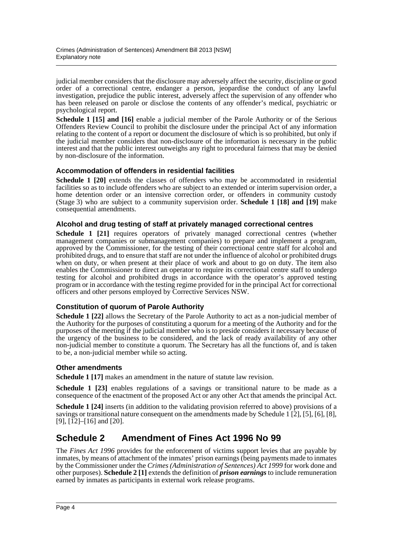judicial member considers that the disclosure may adversely affect the security, discipline or good order of a correctional centre, endanger a person, jeopardise the conduct of any lawful investigation, prejudice the public interest, adversely affect the supervision of any offender who has been released on parole or disclose the contents of any offender's medical, psychiatric or psychological report.

**Schedule 1 [15] and [16]** enable a judicial member of the Parole Authority or of the Serious Offenders Review Council to prohibit the disclosure under the principal Act of any information relating to the content of a report or document the disclosure of which is so prohibited, but only if the judicial member considers that non-disclosure of the information is necessary in the public interest and that the public interest outweighs any right to procedural fairness that may be denied by non-disclosure of the information.

#### **Accommodation of offenders in residential facilities**

**Schedule 1 [20]** extends the classes of offenders who may be accommodated in residential facilities so as to include offenders who are subject to an extended or interim supervision order, a home detention order or an intensive correction order, or offenders in community custody (Stage 3) who are subject to a community supervision order. **Schedule 1 [18] and [19]** make consequential amendments.

#### **Alcohol and drug testing of staff at privately managed correctional centres**

**Schedule 1 [21]** requires operators of privately managed correctional centres (whether management companies or submanagement companies) to prepare and implement a program, approved by the Commissioner, for the testing of their correctional centre staff for alcohol and prohibited drugs, and to ensure that staff are not under the influence of alcohol or prohibited drugs when on duty, or when present at their place of work and about to go on duty. The item also enables the Commissioner to direct an operator to require its correctional centre staff to undergo testing for alcohol and prohibited drugs in accordance with the operator's approved testing program or in accordance with the testing regime provided for in the principal Act for correctional officers and other persons employed by Corrective Services NSW.

#### **Constitution of quorum of Parole Authority**

**Schedule 1 [22]** allows the Secretary of the Parole Authority to act as a non-judicial member of the Authority for the purposes of constituting a quorum for a meeting of the Authority and for the purposes of the meeting if the judicial member who is to preside considers it necessary because of the urgency of the business to be considered, and the lack of ready availability of any other non-judicial member to constitute a quorum. The Secretary has all the functions of, and is taken to be, a non-judicial member while so acting.

#### **Other amendments**

**Schedule 1 [17]** makes an amendment in the nature of statute law revision.

**Schedule 1 [23]** enables regulations of a savings or transitional nature to be made as a consequence of the enactment of the proposed Act or any other Act that amends the principal Act.

**Schedule 1 [24]** inserts (in addition to the validating provision referred to above) provisions of a savings or transitional nature consequent on the amendments made by Schedule 1 [2], [5], [6], [8], [9],  $[\overline{1}2]$ – $[16]$  and  $[20]$ .

## **Schedule 2 Amendment of Fines Act 1996 No 99**

The *Fines Act 1996* provides for the enforcement of victims support levies that are payable by inmates, by means of attachment of the inmates' prison earnings (being payments made to inmates by the Commissioner under the *Crimes (Administration of Sentences) Act 1999* for work done and other purposes). **Schedule 2 [1]** extends the definition of *prison earnings* to include remuneration earned by inmates as participants in external work release programs.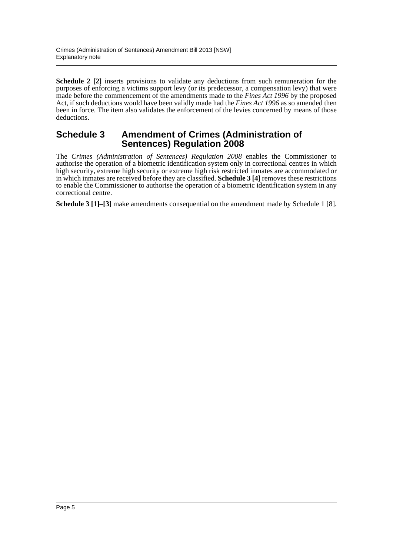**Schedule 2 [2]** inserts provisions to validate any deductions from such remuneration for the purposes of enforcing a victims support levy (or its predecessor, a compensation levy) that were made before the commencement of the amendments made to the *Fines Act 1996* by the proposed Act, if such deductions would have been validly made had the *Fines Act 1996* as so amended then been in force. The item also validates the enforcement of the levies concerned by means of those deductions.

### **Schedule 3 Amendment of Crimes (Administration of Sentences) Regulation 2008**

The *Crimes (Administration of Sentences) Regulation 2008* enables the Commissioner to authorise the operation of a biometric identification system only in correctional centres in which high security, extreme high security or extreme high risk restricted inmates are accommodated or in which inmates are received before they are classified. **Schedule 3 [4]** removes these restrictions to enable the Commissioner to authorise the operation of a biometric identification system in any correctional centre.

**Schedule 3 [1]–[3]** make amendments consequential on the amendment made by Schedule 1 [8].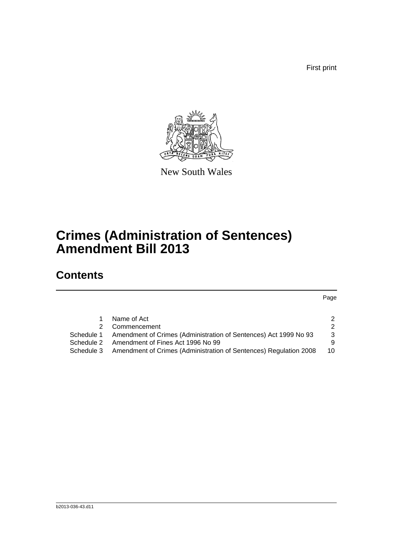First print



New South Wales

# **Crimes (Administration of Sentences) Amendment Bill 2013**

# **Contents**

Page

|            | Name of Act                                                       | 2             |
|------------|-------------------------------------------------------------------|---------------|
|            | 2 Commencement                                                    | $\mathcal{P}$ |
| Schedule 1 | Amendment of Crimes (Administration of Sentences) Act 1999 No 93  | -3            |
| Schedule 2 | Amendment of Fines Act 1996 No 99                                 | 9             |
| Schedule 3 | Amendment of Crimes (Administration of Sentences) Regulation 2008 | 10            |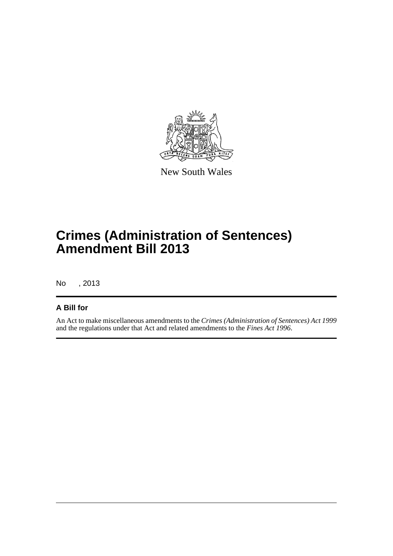

New South Wales

# **Crimes (Administration of Sentences) Amendment Bill 2013**

No , 2013

### **A Bill for**

An Act to make miscellaneous amendments to the *Crimes (Administration of Sentences) Act 1999* and the regulations under that Act and related amendments to the *Fines Act 1996*.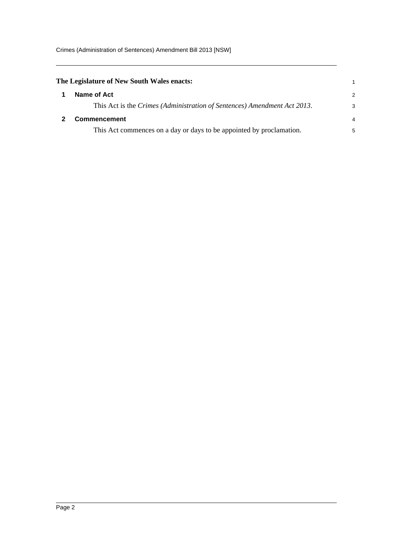<span id="page-7-1"></span><span id="page-7-0"></span>

| The Legislature of New South Wales enacts: |                                                                          |               |  |
|--------------------------------------------|--------------------------------------------------------------------------|---------------|--|
|                                            | Name of Act                                                              | $\mathcal{P}$ |  |
|                                            | This Act is the Crimes (Administration of Sentences) Amendment Act 2013. | 3             |  |
|                                            | <b>Commencement</b>                                                      |               |  |
|                                            | This Act commences on a day or days to be appointed by proclamation.     | 5             |  |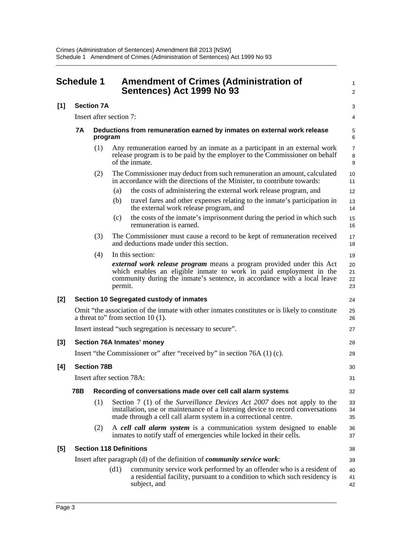<span id="page-8-0"></span>

| <b>Schedule 1</b> |                                |                         | <b>Amendment of Crimes (Administration of</b><br>Sentences) Act 1999 No 93                                                                                                                                                                | $\mathbf{1}$<br>2        |
|-------------------|--------------------------------|-------------------------|-------------------------------------------------------------------------------------------------------------------------------------------------------------------------------------------------------------------------------------------|--------------------------|
| [1]               |                                | <b>Section 7A</b>       |                                                                                                                                                                                                                                           | 3                        |
|                   |                                | Insert after section 7: |                                                                                                                                                                                                                                           |                          |
|                   | <b>7A</b>                      | program                 | Deductions from remuneration earned by inmates on external work release                                                                                                                                                                   | 5<br>6                   |
|                   |                                | (1)                     | Any remuneration earned by an inmate as a participant in an external work<br>release program is to be paid by the employer to the Commissioner on behalf<br>of the inmate.                                                                | $\overline{7}$<br>8<br>9 |
|                   |                                | (2)                     | The Commissioner may deduct from such remuneration an amount, calculated<br>in accordance with the directions of the Minister, to contribute towards:<br>(a)<br>the costs of administering the external work release program, and         | 10<br>11<br>12           |
|                   |                                |                         | travel fares and other expenses relating to the inmate's participation in<br>(b)<br>the external work release program, and                                                                                                                | 13<br>14                 |
|                   |                                |                         | the costs of the inmate's imprisonment during the period in which such<br>(c)<br>remuneration is earned.                                                                                                                                  | 15<br>16                 |
|                   |                                | (3)                     | The Commissioner must cause a record to be kept of remuneration received<br>and deductions made under this section.                                                                                                                       | 17<br>18                 |
|                   |                                | (4)                     | In this section:                                                                                                                                                                                                                          | 19                       |
|                   |                                |                         | <i>external work release program</i> means a program provided under this Act<br>which enables an eligible inmate to work in paid employment in the<br>community during the inmate's sentence, in accordance with a local leave<br>permit. | 20<br>21<br>22<br>23     |
| [2]               |                                |                         | Section 10 Segregated custody of inmates                                                                                                                                                                                                  | 24                       |
|                   |                                |                         | Omit "the association of the inmate with other inmates constitutes or is likely to constitute<br>a threat to" from section $10(1)$ .                                                                                                      | 25<br>26                 |
|                   |                                |                         | Insert instead "such segregation is necessary to secure".                                                                                                                                                                                 | 27                       |
| [3]               |                                |                         | Section 76A Inmates' money                                                                                                                                                                                                                | 28                       |
|                   |                                |                         | Insert "the Commissioner or" after "received by" in section 76A (1) (c).                                                                                                                                                                  | 29                       |
| [4]               |                                | <b>Section 78B</b>      |                                                                                                                                                                                                                                           | 30                       |
|                   |                                |                         | Insert after section 78A:                                                                                                                                                                                                                 | 31                       |
|                   | 78B                            |                         | Recording of conversations made over cell call alarm systems                                                                                                                                                                              | 32                       |
|                   |                                | (1)                     | Section 7 (1) of the <i>Surveillance Devices Act 2007</i> does not apply to the<br>installation, use or maintenance of a listening device to record conversations<br>made through a cell call alarm system in a correctional centre.      | 33<br>34<br>35           |
|                   |                                | (2)                     | A cell call alarm system is a communication system designed to enable<br>inmates to notify staff of emergencies while locked in their cells.                                                                                              | 36<br>37                 |
| [5]               | <b>Section 118 Definitions</b> |                         |                                                                                                                                                                                                                                           |                          |
|                   |                                |                         | Insert after paragraph (d) of the definition of <i>community service work</i> :                                                                                                                                                           | 39                       |
|                   |                                |                         | (d1)<br>community service work performed by an offender who is a resident of<br>a residential facility, pursuant to a condition to which such residency is<br>subject, and                                                                | 40<br>41<br>42           |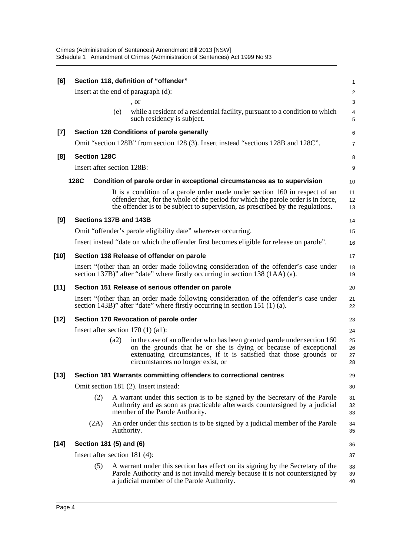| [6]    |                            |      | Section 118, definition of "offender"                                                                                                                                                                                                                    | 1                       |
|--------|----------------------------|------|----------------------------------------------------------------------------------------------------------------------------------------------------------------------------------------------------------------------------------------------------------|-------------------------|
|        |                            |      | Insert at the end of paragraph (d):                                                                                                                                                                                                                      | $\overline{\mathbf{c}}$ |
|        |                            |      | , or                                                                                                                                                                                                                                                     | 3                       |
|        |                            | (e)  | while a resident of a residential facility, pursuant to a condition to which<br>such residency is subject.                                                                                                                                               | 4<br>5                  |
| $[7]$  |                            |      | Section 128 Conditions of parole generally                                                                                                                                                                                                               | 6                       |
|        |                            |      | Omit "section 128B" from section 128 (3). Insert instead "sections 128B and 128C".                                                                                                                                                                       | 7                       |
| [8]    | <b>Section 128C</b>        |      |                                                                                                                                                                                                                                                          | 8                       |
|        | Insert after section 128B: |      |                                                                                                                                                                                                                                                          | 9                       |
|        | 128C                       |      | Condition of parole order in exceptional circumstances as to supervision                                                                                                                                                                                 | 10                      |
|        |                            |      | It is a condition of a parole order made under section 160 in respect of an<br>offender that, for the whole of the period for which the parole order is in force,<br>the offender is to be subject to supervision, as prescribed by the regulations.     | 11<br>12<br>13          |
| [9]    | Sections 137B and 143B     |      |                                                                                                                                                                                                                                                          | 14                      |
|        |                            |      | Omit "offender's parole eligibility date" wherever occurring.                                                                                                                                                                                            | 15                      |
|        |                            |      | Insert instead "date on which the offender first becomes eligible for release on parole".                                                                                                                                                                | 16                      |
| $[10]$ |                            |      | Section 138 Release of offender on parole                                                                                                                                                                                                                | 17                      |
|        |                            |      | Insert "(other than an order made following consideration of the offender's case under<br>section 137B)" after "date" where firstly occurring in section 138 (1AA) (a).                                                                                  | 18<br>19                |
| $[11]$ |                            |      | Section 151 Release of serious offender on parole                                                                                                                                                                                                        | 20                      |
|        |                            |      | Insert "(other than an order made following consideration of the offender's case under<br>section 143B)" after "date" where firstly occurring in section 151 (1) (a).                                                                                    | 21<br>22                |
| $[12]$ |                            |      | Section 170 Revocation of parole order                                                                                                                                                                                                                   | 23                      |
|        |                            |      | Insert after section $170(1)(a1)$ :                                                                                                                                                                                                                      | 24                      |
|        |                            | (a2) | in the case of an offender who has been granted parole under section 160<br>on the grounds that he or she is dying or because of exceptional<br>extenuating circumstances, if it is satisfied that those grounds or<br>circumstances no longer exist, or | 25<br>26<br>27<br>28    |
| $[13]$ |                            |      | Section 181 Warrants committing offenders to correctional centres                                                                                                                                                                                        | 29                      |
|        |                            |      | Omit section 181 (2). Insert instead:                                                                                                                                                                                                                    | 30                      |
|        | (2)                        |      | A warrant under this section is to be signed by the Secretary of the Parole<br>Authority and as soon as practicable afterwards countersigned by a judicial<br>member of the Parole Authority.                                                            | 31<br>32<br>33          |
|        | (2A)                       |      | An order under this section is to be signed by a judicial member of the Parole<br>Authority.                                                                                                                                                             | 34<br>35                |
| $[14]$ | Section 181 (5) and (6)    |      |                                                                                                                                                                                                                                                          | 36                      |
|        |                            |      | Insert after section 181 (4):                                                                                                                                                                                                                            | 37                      |
|        | (5)                        |      | A warrant under this section has effect on its signing by the Secretary of the<br>Parole Authority and is not invalid merely because it is not countersigned by<br>a judicial member of the Parole Authority.                                            | 38<br>39<br>40          |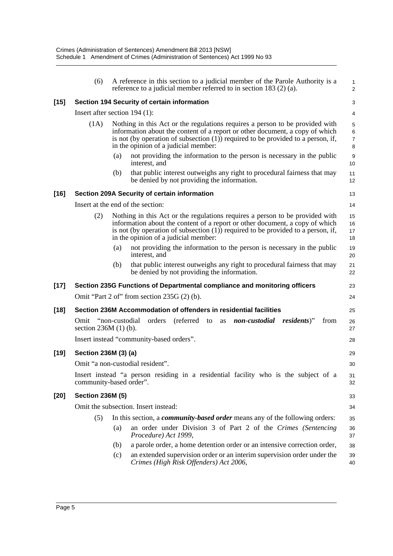|        | (6)                                           |     | A reference in this section to a judicial member of the Parole Authority is a<br>reference to a judicial member referred to in section 183 $(2)$ (a).                                                                                                                                       | $\mathbf{1}$<br>2             |
|--------|-----------------------------------------------|-----|---------------------------------------------------------------------------------------------------------------------------------------------------------------------------------------------------------------------------------------------------------------------------------------------|-------------------------------|
| [15]   |                                               |     | Section 194 Security of certain information                                                                                                                                                                                                                                                 | 3                             |
|        | Insert after section $194$ (1):               |     |                                                                                                                                                                                                                                                                                             | 4                             |
|        | (1A)                                          |     | Nothing in this Act or the regulations requires a person to be provided with<br>information about the content of a report or other document, a copy of which<br>is not (by operation of subsection $(1)$ ) required to be provided to a person, if,<br>in the opinion of a judicial member: | 5<br>6<br>$\overline{7}$<br>8 |
|        |                                               | (a) | not providing the information to the person is necessary in the public<br>interest, and                                                                                                                                                                                                     | $\boldsymbol{9}$<br>10        |
|        |                                               | (b) | that public interest outweighs any right to procedural fairness that may<br>be denied by not providing the information.                                                                                                                                                                     | 11<br>12                      |
| [16]   |                                               |     | Section 209A Security of certain information                                                                                                                                                                                                                                                | 13                            |
|        |                                               |     | Insert at the end of the section:                                                                                                                                                                                                                                                           | 14                            |
|        | (2)                                           |     | Nothing in this Act or the regulations requires a person to be provided with<br>information about the content of a report or other document, a copy of which<br>is not (by operation of subsection $(1)$ ) required to be provided to a person, if,<br>in the opinion of a judicial member: | 15<br>16<br>17<br>18          |
|        |                                               | (a) | not providing the information to the person is necessary in the public<br>interest, and                                                                                                                                                                                                     | 19<br>20                      |
|        |                                               | (b) | that public interest outweighs any right to procedural fairness that may<br>be denied by not providing the information.                                                                                                                                                                     | 21<br>22                      |
| $[17]$ |                                               |     | Section 235G Functions of Departmental compliance and monitoring officers                                                                                                                                                                                                                   | 23                            |
|        |                                               |     | Omit "Part 2 of" from section $235G(2)$ (b).                                                                                                                                                                                                                                                | 24                            |
| [18]   |                                               |     | Section 236M Accommodation of offenders in residential facilities                                                                                                                                                                                                                           | 25                            |
|        | Omit "non-custodial<br>section $236M(1)$ (b). |     | orders<br>(referred to<br>non-custodial residents)"<br>from<br>as                                                                                                                                                                                                                           | 26<br>27                      |
|        |                                               |     | Insert instead "community-based orders".                                                                                                                                                                                                                                                    | 28                            |
| [19]   | Section 236M (3) (a)                          |     |                                                                                                                                                                                                                                                                                             | 29                            |
|        |                                               |     | Omit "a non-custodial resident".                                                                                                                                                                                                                                                            | 30                            |
|        | community-based order".                       |     | Insert instead "a person residing in a residential facility who is the subject of a                                                                                                                                                                                                         | 31<br>32                      |
| [20]   | <b>Section 236M (5)</b>                       |     |                                                                                                                                                                                                                                                                                             | 33                            |
|        |                                               |     | Omit the subsection. Insert instead:                                                                                                                                                                                                                                                        | 34                            |
|        | (5)                                           |     | In this section, a <i>community-based order</i> means any of the following orders:                                                                                                                                                                                                          | 35                            |
|        |                                               | (a) | an order under Division 3 of Part 2 of the Crimes (Sentencing<br>Procedure) Act 1999,                                                                                                                                                                                                       | 36<br>37                      |
|        |                                               | (b) | a parole order, a home detention order or an intensive correction order,                                                                                                                                                                                                                    | 38                            |
|        |                                               | (c) | an extended supervision order or an interim supervision order under the<br>Crimes (High Risk Offenders) Act 2006,                                                                                                                                                                           | 39<br>40                      |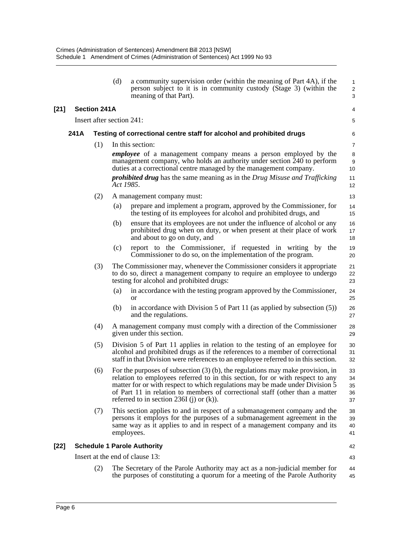|        |      |                           | (d)       | a community supervision order (within the meaning of Part 4A), if the<br>person subject to it is in community custody (Stage 3) (within the<br>meaning of that Part).                                                                                                                                                                                                          | 1<br>$\overline{\mathbf{c}}$<br>3 |
|--------|------|---------------------------|-----------|--------------------------------------------------------------------------------------------------------------------------------------------------------------------------------------------------------------------------------------------------------------------------------------------------------------------------------------------------------------------------------|-----------------------------------|
| $[21]$ |      | <b>Section 241A</b>       |           |                                                                                                                                                                                                                                                                                                                                                                                | 4                                 |
|        |      | Insert after section 241: |           |                                                                                                                                                                                                                                                                                                                                                                                | 5                                 |
|        | 241A |                           |           | Testing of correctional centre staff for alcohol and prohibited drugs                                                                                                                                                                                                                                                                                                          | 6                                 |
|        |      | (1)                       |           | In this section:                                                                                                                                                                                                                                                                                                                                                               | $\overline{7}$                    |
|        |      |                           |           | <i>employee</i> of a management company means a person employed by the<br>management company, who holds an authority under section 240 to perform<br>duties at a correctional centre managed by the management company.                                                                                                                                                        | 8<br>9<br>10                      |
|        |      |                           | Act 1985. | <i>prohibited drug</i> has the same meaning as in the Drug Misuse and Trafficking                                                                                                                                                                                                                                                                                              | 11<br>12                          |
|        |      | (2)                       |           | A management company must:                                                                                                                                                                                                                                                                                                                                                     | 13                                |
|        |      |                           | (a)       | prepare and implement a program, approved by the Commissioner, for<br>the testing of its employees for alcohol and prohibited drugs, and                                                                                                                                                                                                                                       | 14<br>15                          |
|        |      |                           | (b)       | ensure that its employees are not under the influence of alcohol or any<br>prohibited drug when on duty, or when present at their place of work<br>and about to go on duty, and                                                                                                                                                                                                | 16<br>17<br>18                    |
|        |      |                           | (c)       | report to the Commissioner, if requested in writing by the<br>Commissioner to do so, on the implementation of the program.                                                                                                                                                                                                                                                     | 19<br>20                          |
|        |      | (3)                       |           | The Commissioner may, whenever the Commissioner considers it appropriate<br>to do so, direct a management company to require an employee to undergo<br>testing for alcohol and prohibited drugs:                                                                                                                                                                               | 21<br>22<br>23                    |
|        |      |                           | (a)       | in accordance with the testing program approved by the Commissioner,<br><b>or</b>                                                                                                                                                                                                                                                                                              | 24<br>25                          |
|        |      |                           | (b)       | in accordance with Division 5 of Part 11 (as applied by subsection $(5)$ )<br>and the regulations.                                                                                                                                                                                                                                                                             | 26<br>27                          |
|        |      | (4)                       |           | A management company must comply with a direction of the Commissioner<br>given under this section.                                                                                                                                                                                                                                                                             | 28<br>29                          |
|        |      | (5)                       |           | Division 5 of Part 11 applies in relation to the testing of an employee for<br>alcohol and prohibited drugs as if the references to a member of correctional<br>staff in that Division were references to an employee referred to in this section.                                                                                                                             | 30<br>31<br>32                    |
|        |      | (6)                       |           | For the purposes of subsection (3) (b), the regulations may make provision, in<br>relation to employees referred to in this section, for or with respect to any<br>matter for or with respect to which regulations may be made under Division 5<br>of Part 11 in relation to members of correctional staff (other than a matter<br>referred to in section 236I (j) or $(k)$ ). | 33<br>34<br>35<br>36<br>37        |
|        |      | (7)                       |           | This section applies to and in respect of a submanagement company and the<br>persons it employs for the purposes of a submanagement agreement in the<br>same way as it applies to and in respect of a management company and its<br>employees.                                                                                                                                 | 38<br>39<br>40<br>41              |
| $[22]$ |      |                           |           | <b>Schedule 1 Parole Authority</b>                                                                                                                                                                                                                                                                                                                                             | 42                                |
|        |      |                           |           | Insert at the end of clause 13:                                                                                                                                                                                                                                                                                                                                                | 43                                |
|        |      | (2)                       |           | The Secretary of the Parole Authority may act as a non-judicial member for<br>the purposes of constituting a quorum for a meeting of the Parole Authority                                                                                                                                                                                                                      | 44<br>45                          |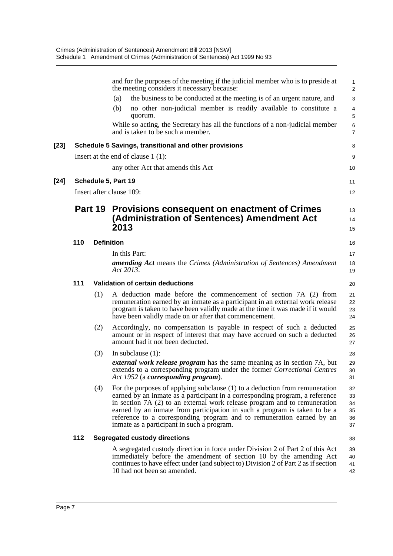|        |     |         | and for the purposes of the meeting if the judicial member who is to preside at<br>the meeting considers it necessary because:                                                                                                                                                                                                                                                                                                                 | 1<br>$\overline{2}$              |
|--------|-----|---------|------------------------------------------------------------------------------------------------------------------------------------------------------------------------------------------------------------------------------------------------------------------------------------------------------------------------------------------------------------------------------------------------------------------------------------------------|----------------------------------|
|        |     |         | the business to be conducted at the meeting is of an urgent nature, and<br>(a)                                                                                                                                                                                                                                                                                                                                                                 | 3                                |
|        |     |         | no other non-judicial member is readily available to constitute a<br>(b)<br>quorum.                                                                                                                                                                                                                                                                                                                                                            | $\overline{4}$<br>5              |
|        |     |         | While so acting, the Secretary has all the functions of a non-judicial member<br>and is taken to be such a member.                                                                                                                                                                                                                                                                                                                             | $\,6$<br>$\overline{7}$          |
| [23]   |     |         | Schedule 5 Savings, transitional and other provisions                                                                                                                                                                                                                                                                                                                                                                                          | 8                                |
|        |     |         | Insert at the end of clause $1(1)$ :                                                                                                                                                                                                                                                                                                                                                                                                           | 9                                |
|        |     |         | any other Act that amends this Act                                                                                                                                                                                                                                                                                                                                                                                                             | 10                               |
| $[24]$ |     |         | Schedule 5, Part 19                                                                                                                                                                                                                                                                                                                                                                                                                            | 11                               |
|        |     |         | Insert after clause 109:                                                                                                                                                                                                                                                                                                                                                                                                                       | 12                               |
|        |     | Part 19 | Provisions consequent on enactment of Crimes<br>(Administration of Sentences) Amendment Act<br>2013                                                                                                                                                                                                                                                                                                                                            | 13<br>14<br>15                   |
|        | 110 |         | <b>Definition</b>                                                                                                                                                                                                                                                                                                                                                                                                                              | 16                               |
|        |     |         | In this Part:                                                                                                                                                                                                                                                                                                                                                                                                                                  | 17                               |
|        |     |         | <b>amending Act</b> means the Crimes (Administration of Sentences) Amendment<br>Act 2013.                                                                                                                                                                                                                                                                                                                                                      | 18<br>19                         |
|        | 111 |         | <b>Validation of certain deductions</b>                                                                                                                                                                                                                                                                                                                                                                                                        | 20                               |
|        |     | (1)     | A deduction made before the commencement of section 7A (2) from<br>remuneration earned by an inmate as a participant in an external work release<br>program is taken to have been validly made at the time it was made if it would<br>have been validly made on or after that commencement.                                                                                                                                                    | 21<br>22<br>23<br>24             |
|        |     | (2)     | Accordingly, no compensation is payable in respect of such a deducted<br>amount or in respect of interest that may have accrued on such a deducted<br>amount had it not been deducted.                                                                                                                                                                                                                                                         | 25<br>26<br>27                   |
|        |     | (3)     | In subclause $(1)$ :                                                                                                                                                                                                                                                                                                                                                                                                                           | 28                               |
|        |     |         | <i>external work release program</i> has the same meaning as in section 7A, but<br>extends to a corresponding program under the former Correctional Centres<br>Act 1952 (a corresponding program).                                                                                                                                                                                                                                             | 29<br>30<br>31                   |
|        |     | (4)     | For the purposes of applying subclause $(1)$ to a deduction from remuneration<br>earned by an inmate as a participant in a corresponding program, a reference<br>in section 7A (2) to an external work release program and to remuneration<br>earned by an inmate from participation in such a program is taken to be a<br>reference to a corresponding program and to remuneration earned by an<br>inmate as a participant in such a program. | 32<br>33<br>34<br>35<br>36<br>37 |
|        | 112 |         | <b>Segregated custody directions</b>                                                                                                                                                                                                                                                                                                                                                                                                           | 38                               |
|        |     |         | A segregated custody direction in force under Division 2 of Part 2 of this Act<br>immediately before the amendment of section 10 by the amending Act<br>continues to have effect under (and subject to) Division 2 of Part 2 as if section<br>10 had not been so amended.                                                                                                                                                                      | 39<br>40<br>41<br>42             |
|        |     |         |                                                                                                                                                                                                                                                                                                                                                                                                                                                |                                  |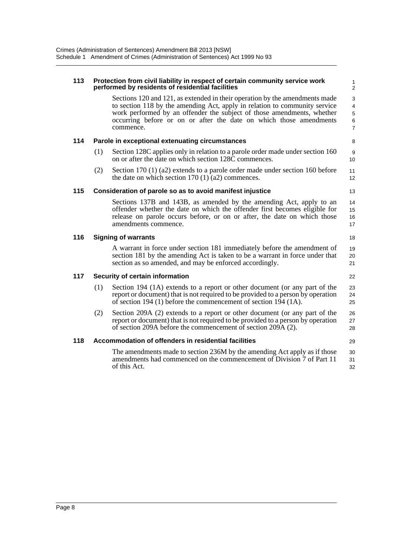| 113 |     | Protection from civil liability in respect of certain community service work<br>performed by residents of residential facilities                                                                                                                                                                                       | 1<br>$\overline{c}$   |
|-----|-----|------------------------------------------------------------------------------------------------------------------------------------------------------------------------------------------------------------------------------------------------------------------------------------------------------------------------|-----------------------|
|     |     | Sections 120 and 121, as extended in their operation by the amendments made<br>to section 118 by the amending Act, apply in relation to community service<br>work performed by an offender the subject of those amendments, whether<br>occurring before or on or after the date on which those amendments<br>commence. | 3<br>4<br>5<br>6<br>7 |
| 114 |     | Parole in exceptional extenuating circumstances                                                                                                                                                                                                                                                                        | 8                     |
|     | (1) | Section 128C applies only in relation to a parole order made under section 160<br>on or after the date on which section 128C commences.                                                                                                                                                                                | 9<br>10               |
|     | (2) | Section 170 (1) (a2) extends to a parole order made under section 160 before<br>the date on which section $170(1)(a2)$ commences.                                                                                                                                                                                      | 11<br>12              |
| 115 |     | Consideration of parole so as to avoid manifest injustice                                                                                                                                                                                                                                                              | 13                    |
|     |     | Sections 137B and 143B, as amended by the amending Act, apply to an<br>offender whether the date on which the offender first becomes eligible for<br>release on parole occurs before, or on or after, the date on which those<br>amendments commence.                                                                  | 14<br>15<br>16<br>17  |
| 116 |     | <b>Signing of warrants</b>                                                                                                                                                                                                                                                                                             | 18                    |
|     |     | A warrant in force under section 181 immediately before the amendment of<br>section 181 by the amending Act is taken to be a warrant in force under that<br>section as so amended, and may be enforced accordingly.                                                                                                    | 19<br>20<br>21        |
| 117 |     | Security of certain information                                                                                                                                                                                                                                                                                        | 22                    |
|     | (1) | Section 194 (1A) extends to a report or other document (or any part of the<br>report or document) that is not required to be provided to a person by operation<br>of section 194 (1) before the commencement of section 194 (1A).                                                                                      | 23<br>24<br>25        |
|     | (2) | Section 209A (2) extends to a report or other document (or any part of the<br>report or document) that is not required to be provided to a person by operation<br>of section 209A before the commencement of section 209A (2).                                                                                         | 26<br>27<br>28        |
| 118 |     | Accommodation of offenders in residential facilities                                                                                                                                                                                                                                                                   | 29                    |
|     |     | The amendments made to section 236M by the amending Act apply as if those<br>amendments had commenced on the commencement of Division 7 of Part 11<br>of this Act.                                                                                                                                                     | 30<br>31<br>32        |
|     |     |                                                                                                                                                                                                                                                                                                                        |                       |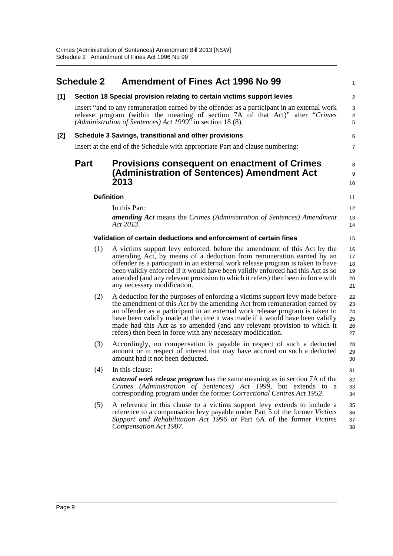<span id="page-14-0"></span>

|     | <b>Schedule 2</b> | <b>Amendment of Fines Act 1996 No 99</b>                                                                                                                                                                                                                                                                                                                                                                                                                            | 1                                 |
|-----|-------------------|---------------------------------------------------------------------------------------------------------------------------------------------------------------------------------------------------------------------------------------------------------------------------------------------------------------------------------------------------------------------------------------------------------------------------------------------------------------------|-----------------------------------|
| [1] |                   | Section 18 Special provision relating to certain victims support levies                                                                                                                                                                                                                                                                                                                                                                                             | $\overline{c}$                    |
|     |                   | Insert "and to any remuneration earned by the offender as a participant in an external work<br>release program (within the meaning of section 7A of that Act)" after "Crimes"<br>(Administration of Sentences) Act 1999" in section 18 (8).                                                                                                                                                                                                                         | 3<br>$\overline{\mathbf{4}}$<br>5 |
| [2] |                   | Schedule 3 Savings, transitional and other provisions                                                                                                                                                                                                                                                                                                                                                                                                               | 6                                 |
|     |                   | Insert at the end of the Schedule with appropriate Part and clause numbering:                                                                                                                                                                                                                                                                                                                                                                                       | 7                                 |
|     | <b>Part</b>       | <b>Provisions consequent on enactment of Crimes</b><br>(Administration of Sentences) Amendment Act<br>2013                                                                                                                                                                                                                                                                                                                                                          | 8<br>9<br>10                      |
|     | <b>Definition</b> |                                                                                                                                                                                                                                                                                                                                                                                                                                                                     | 11                                |
|     |                   | In this Part:                                                                                                                                                                                                                                                                                                                                                                                                                                                       | 12                                |
|     |                   | <b>amending Act</b> means the Crimes (Administration of Sentences) Amendment<br>Act 2013.                                                                                                                                                                                                                                                                                                                                                                           | 13<br>14                          |
|     |                   | Validation of certain deductions and enforcement of certain fines                                                                                                                                                                                                                                                                                                                                                                                                   | 15                                |
|     | (1)               | A victims support levy enforced, before the amendment of this Act by the<br>amending Act, by means of a deduction from remuneration earned by an<br>offender as a participant in an external work release program is taken to have<br>been validly enforced if it would have been validly enforced had this Act as so<br>amended (and any relevant provision to which it refers) then been in force with<br>any necessary modification.                             | 16<br>17<br>18<br>19<br>20<br>21  |
|     | (2)               | A deduction for the purposes of enforcing a victims support levy made before<br>the amendment of this Act by the amending Act from remuneration earned by<br>an offender as a participant in an external work release program is taken to<br>have been validly made at the time it was made if it would have been validly<br>made had this Act as so amended (and any relevant provision to which it<br>refers) then been in force with any necessary modification. | 22<br>23<br>24<br>25<br>26<br>27  |
|     | (3)               | Accordingly, no compensation is payable in respect of such a deducted<br>amount or in respect of interest that may have accrued on such a deducted<br>amount had it not been deducted.                                                                                                                                                                                                                                                                              | 28<br>29<br>30                    |
|     |                   | $(4)$ In this clause:                                                                                                                                                                                                                                                                                                                                                                                                                                               | 31                                |
|     |                   | <i>external work release program</i> has the same meaning as in section 7A of the<br>Crimes (Administration of Sentences) Act 1999, but extends to a<br>corresponding program under the former Correctional Centres Act 1952.                                                                                                                                                                                                                                       | 32<br>33<br>34                    |
|     | (5)               | A reference in this clause to a victims support levy extends to include a<br>reference to a compensation levy payable under Part 5 of the former Victims<br>Support and Rehabilitation Act 1996 or Part 6A of the former Victims<br>Compensation Act 1987.                                                                                                                                                                                                          | 35<br>36<br>37<br>38              |